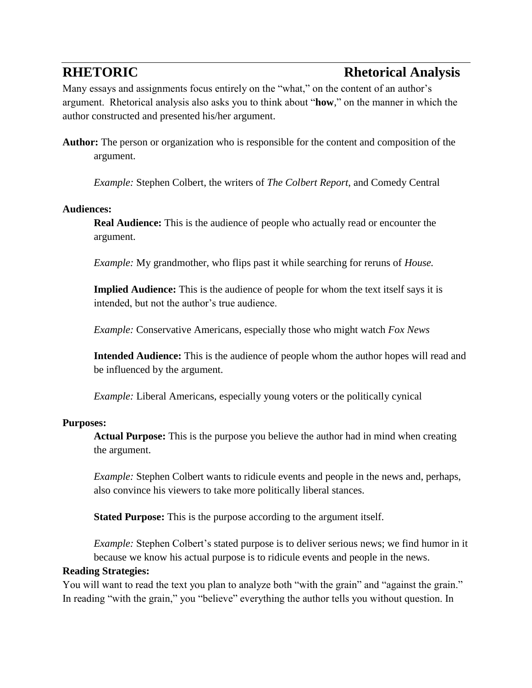# **RHETORIC Rhetorical Analysis**

Many essays and assignments focus entirely on the "what," on the content of an author's argument. Rhetorical analysis also asks you to think about "**how**," on the manner in which the author constructed and presented his/her argument.

**Author:** The person or organization who is responsible for the content and composition of the argument.

*Example:* Stephen Colbert, the writers of *The Colbert Report*, and Comedy Central

## **Audiences:**

**Real Audience:** This is the audience of people who actually read or encounter the argument.

*Example:* My grandmother, who flips past it while searching for reruns of *House.*

**Implied Audience:** This is the audience of people for whom the text itself says it is intended, but not the author's true audience.

*Example:* Conservative Americans, especially those who might watch *Fox News*

**Intended Audience:** This is the audience of people whom the author hopes will read and be influenced by the argument.

*Example:* Liberal Americans, especially young voters or the politically cynical

# **Purposes:**

**Actual Purpose:** This is the purpose you believe the author had in mind when creating the argument.

*Example:* Stephen Colbert wants to ridicule events and people in the news and, perhaps, also convince his viewers to take more politically liberal stances.

**Stated Purpose:** This is the purpose according to the argument itself.

*Example:* Stephen Colbert's stated purpose is to deliver serious news; we find humor in it because we know his actual purpose is to ridicule events and people in the news.

# **Reading Strategies:**

You will want to read the text you plan to analyze both "with the grain" and "against the grain." In reading "with the grain," you "believe" everything the author tells you without question. In